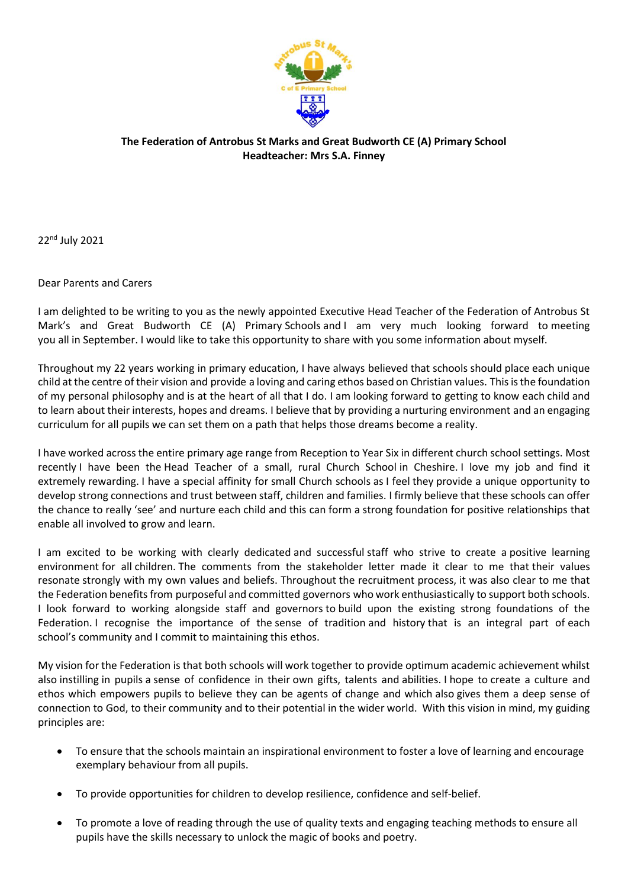

## **The Federation of Antrobus St Marks and Great Budworth CE (A) Primary School Headteacher: Mrs S.A. Finney**

22nd July 2021

## Dear Parents and Carers

I am delighted to be writing to you as the newly appointed Executive Head Teacher of the Federation of Antrobus St Mark's and Great Budworth CE (A) Primary Schools and I am very much looking forward to meeting you all in September. I would like to take this opportunity to share with you some information about myself.

Throughout my 22 years working in primary education, I have always believed that schools should place each unique child at the centre of their vision and provide a loving and caring ethos based on Christian values. This is the foundation of my personal philosophy and is at the heart of all that I do. I am looking forward to getting to know each child and to learn about their interests, hopes and dreams. I believe that by providing a nurturing environment and an engaging curriculum for all pupils we can set them on a path that helps those dreams become a reality.

I have worked across the entire primary age range from Reception to Year Six in different church school settings. Most recently I have been the Head Teacher of a small, rural Church School in Cheshire. I love my job and find it extremely rewarding. I have a special affinity for small Church schools as I feel they provide a unique opportunity to develop strong connections and trust between staff, children and families. I firmly believe that these schools can offer the chance to really 'see' and nurture each child and this can form a strong foundation for positive relationships that enable all involved to grow and learn.

I am excited to be working with clearly dedicated and successful staff who strive to create a positive learning environment for all children. The comments from the stakeholder letter made it clear to me that their values resonate strongly with my own values and beliefs. Throughout the recruitment process, it was also clear to me that the Federation benefits from purposeful and committed governors who work enthusiastically to support both schools. I look forward to working alongside staff and governors to build upon the existing strong foundations of the Federation. I recognise the importance of the sense of tradition and history that is an integral part of each school's community and I commit to maintaining this ethos.

My vision for the Federation is that both schools will work together to provide optimum academic achievement whilst also instilling in pupils a sense of confidence in their own gifts, talents and abilities. I hope to create a culture and ethos which empowers pupils to believe they can be agents of change and which also gives them a deep sense of connection to God, to their community and to their potential in the wider world. With this vision in mind, my guiding principles are:

- To ensure that the schools maintain an inspirational environment to foster a love of learning and encourage exemplary behaviour from all pupils.
- To provide opportunities for children to develop resilience, confidence and self-belief.
- To promote a love of reading through the use of quality texts and engaging teaching methods to ensure all pupils have the skills necessary to unlock the magic of books and poetry.